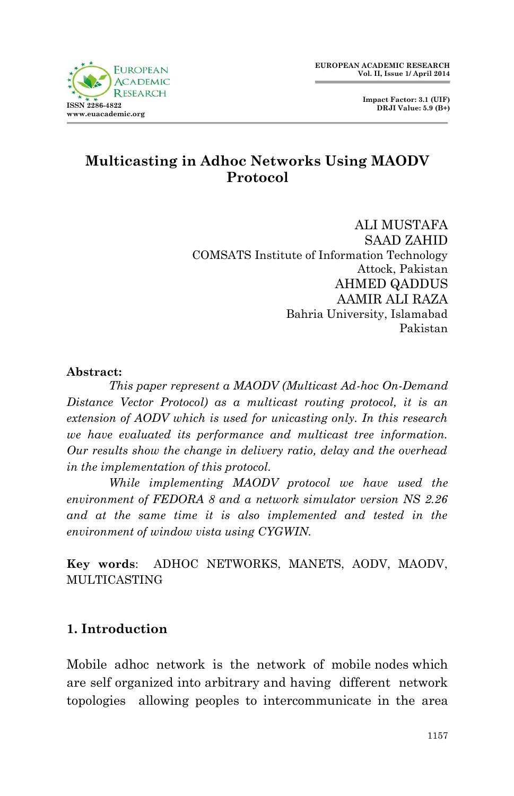**Impact Factor: 3.1 (UIF) DRJI Value: 5.9 (B+)**

# **Multicasting in Adhoc Networks Using MAODV Protocol**

ALI MUSTAFA SAAD ZAHID COMSATS Institute of Information Technology Attock, Pakistan AHMED QADDUS AAMIR ALI RAZA Bahria University, Islamabad Pakistan

#### **Abstract:**

*This paper represent a MAODV (Multicast Ad-hoc On-Demand Distance Vector Protocol) as a multicast routing protocol, it is an extension of AODV which is used for unicasting only. In this research we have evaluated its performance and multicast tree information. Our results show the change in delivery ratio, delay and the overhead in the implementation of this protocol.*

*While implementing MAODV protocol we have used the environment of FEDORA 8 and a network simulator version NS 2.26 and at the same time it is also implemented and tested in the environment of window vista using CYGWIN.*

**Key words**: ADHOC NETWORKS, MANETS, AODV, MAODV, MULTICASTING

#### **1. Introduction**

Mobile adhoc network is the network of mobile nodes which are self organized into arbitrary and having different network topologies allowing peoples to intercommunicate in the area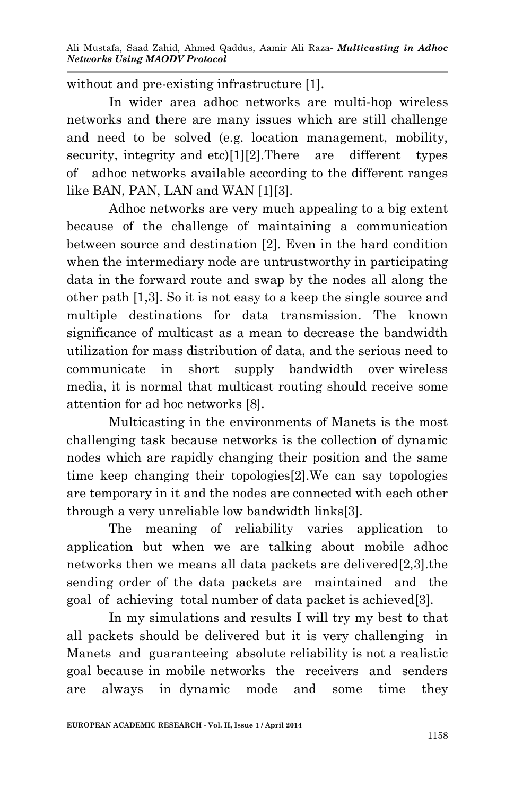without and pre-existing infrastructure [1].

In wider area adhoc networks are multi-hop wireless networks and there are many issues which are still challenge and need to be solved (e.g. location management, mobility, security, integrity and etc)[1][2]. There are different types of adhoc networks available according to the different ranges like BAN, PAN, LAN and WAN [1][3].

Adhoc networks are very much appealing to a big extent because of the challenge of maintaining a communication between source and destination [2]. Even in the hard condition when the intermediary node are untrustworthy in participating data in the forward route and swap by the nodes all along the other path [1,3]. So it is not easy to a keep the single source and multiple destinations for data transmission. The known significance of multicast as a mean to decrease the bandwidth utilization for mass distribution of data, and the serious need to communicate in short supply bandwidth over wireless media, it is normal that multicast routing should receive some attention for ad hoc networks [8].

Multicasting in the environments of Manets is the most challenging task because networks is the collection of dynamic nodes which are rapidly changing their position and the same time keep changing their topologies[2].We can say topologies are temporary in it and the nodes are connected with each other through a very unreliable low bandwidth links[3].

The meaning of reliability varies application to application but when we are talking about mobile adhoc networks then we means all data packets are delivered[2,3].the sending order of the data packets are maintained and the goal of achieving total number of data packet is achieved[3].

In my simulations and results I will try my best to that all packets should be delivered but it is very challenging in Manets and guaranteeing absolute reliability is not a realistic goal because in mobile networks the receivers and senders are always in dynamic mode and some time they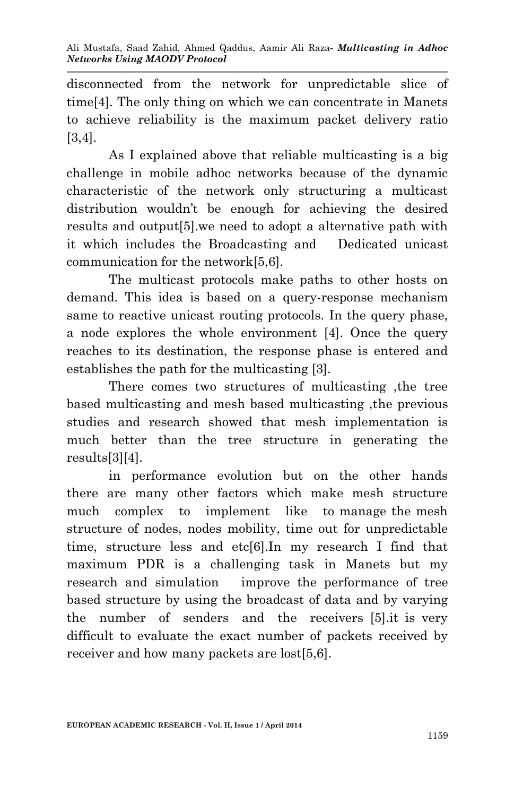disconnected from the network for unpredictable slice of time[4]. The only thing on which we can concentrate in Manets to achieve reliability is the maximum packet delivery ratio [3,4].

As I explained above that reliable multicasting is a big challenge in mobile adhoc networks because of the dynamic characteristic of the network only structuring a multicast distribution wouldn't be enough for achieving the desired results and output[5].we need to adopt a alternative path with it which includes the Broadcasting and Dedicated unicast communication for the network[5,6].

The multicast protocols make paths to other hosts on demand. This idea is based on a query-response mechanism same to reactive unicast routing protocols. In the query phase, a node explores the whole environment [4]. Once the query reaches to its destination, the response phase is entered and establishes the path for the multicasting [3].

There comes two structures of multicasting ,the tree based multicasting and mesh based multicasting ,the previous studies and research showed that mesh implementation is much better than the tree structure in generating the results[3][4].

in performance evolution but on the other hands there are many other factors which make mesh structure much complex to implement like to manage the mesh structure of nodes, nodes mobility, time out for unpredictable time, structure less and etc[6].In my research I find that maximum PDR is a challenging task in Manets but my research and simulation improve the performance of tree based structure by using the broadcast of data and by varying the number of senders and the receivers [5].it is very difficult to evaluate the exact number of packets received by receiver and how many packets are lost[5,6].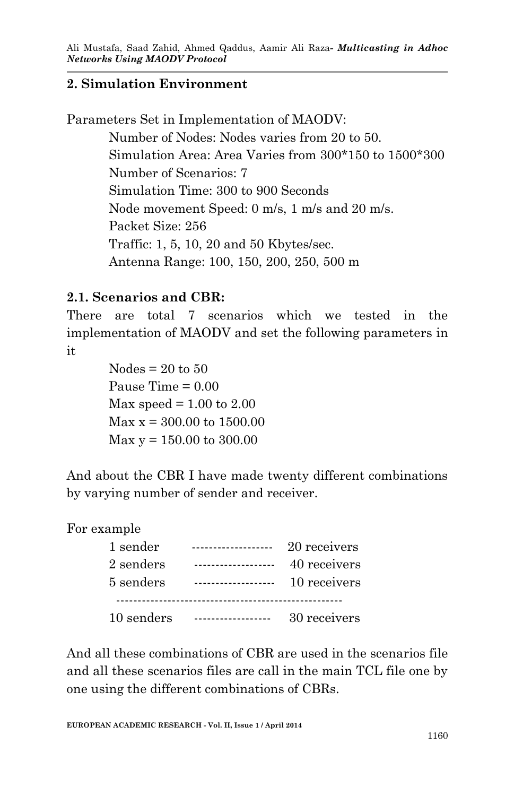#### **2. Simulation Environment**

Parameters Set in Implementation of MAODV:

Number of Nodes: Nodes varies from 20 to 50. Simulation Area: Area Varies from 300\*150 to 1500\*300 Number of Scenarios: 7 Simulation Time: 300 to 900 Seconds Node movement Speed: 0 m/s, 1 m/s and 20 m/s. Packet Size: 256 Traffic: 1, 5, 10, 20 and 50 Kbytes/sec. Antenna Range: 100, 150, 200, 250, 500 m

### **2.1. Scenarios and CBR:**

There are total 7 scenarios which we tested in the implementation of MAODV and set the following parameters in it

> Nodes  $= 20$  to 50 Pause Time = 0.00 Max speed  $= 1.00$  to  $2.00$  $\text{Max } x = 300.00 \text{ to } 1500.00$  $Max y = 150.00$  to 300.00

And about the CBR I have made twenty different combinations by varying number of sender and receiver.

For example

| 1 sender   | -----------------  | 20 receivers |
|------------|--------------------|--------------|
| 2 senders  | .                  | 40 receivers |
| 5 senders  | ------------------ | 10 receivers |
|            |                    |              |
| 10 senders |                    | 30 receivers |

And all these combinations of CBR are used in the scenarios file and all these scenarios files are call in the main TCL file one by one using the different combinations of CBRs.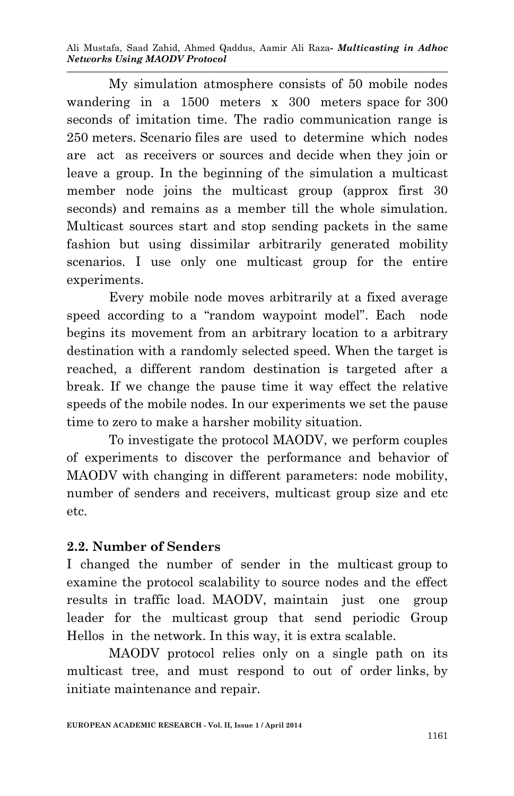My simulation atmosphere consists of 50 mobile nodes wandering in a 1500 meters x 300 meters space for 300 seconds of imitation time. The radio communication range is 250 meters. Scenario files are used to determine which nodes are act as receivers or sources and decide when they join or leave a group. In the beginning of the simulation a multicast member node joins the multicast group (approx first 30 seconds) and remains as a member till the whole simulation. Multicast sources start and stop sending packets in the same fashion but using dissimilar arbitrarily generated mobility scenarios. I use only one multicast group for the entire experiments.

Every mobile node moves arbitrarily at a fixed average speed according to a "random waypoint model". Each node begins its movement from an arbitrary location to a arbitrary destination with a randomly selected speed. When the target is reached, a different random destination is targeted after a break. If we change the pause time it way effect the relative speeds of the mobile nodes. In our experiments we set the pause time to zero to make a harsher mobility situation.

To investigate the protocol MAODV, we perform couples of experiments to discover the performance and behavior of MAODV with changing in different parameters: node mobility, number of senders and receivers, multicast group size and etc etc.

#### **2.2. Number of Senders**

I changed the number of sender in the multicast group to examine the protocol scalability to source nodes and the effect results in traffic load. MAODV, maintain just one group leader for the multicast group that send periodic Group Hellos in the network. In this way, it is extra scalable.

MAODV protocol relies only on a single path on its multicast tree, and must respond to out of order links, by initiate maintenance and repair.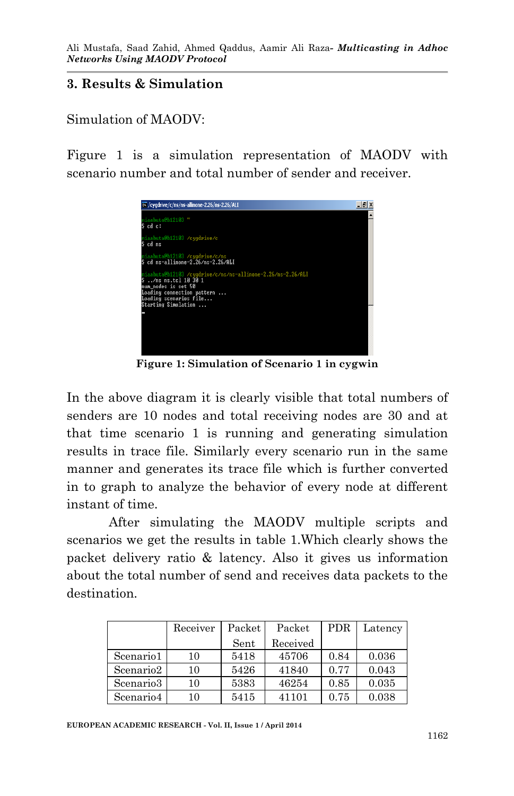#### **3. Results & Simulation**

Simulation of MAODV:

Figure 1 is a simulation representation of MAODV with scenario number and total number of sender and receiver.



**Figure 1: Simulation of Scenario 1 in cygwin**

In the above diagram it is clearly visible that total numbers of senders are 10 nodes and total receiving nodes are 30 and at that time scenario 1 is running and generating simulation results in trace file. Similarly every scenario run in the same manner and generates its trace file which is further converted in to graph to analyze the behavior of every node at different instant of time.

After simulating the MAODV multiple scripts and scenarios we get the results in table 1.Which clearly shows the packet delivery ratio & latency. Also it gives us information about the total number of send and receives data packets to the destination.

|                       | Receiver | Packet | Packet   | <b>PDR</b> | Latency |
|-----------------------|----------|--------|----------|------------|---------|
|                       |          | Sent   | Received |            |         |
| Scenario1             | 10       | 5418   | 45706    | 0.84       | 0.036   |
| Scenario <sub>2</sub> | 10       | 5426   | 41840    | 0.77       | 0.043   |
| Scenario <sub>3</sub> | 10       | 5383   | 46254    | 0.85       | 0.035   |
| Scenario4             | 10       | 5415   | 41101    | 0.75       | 0.038   |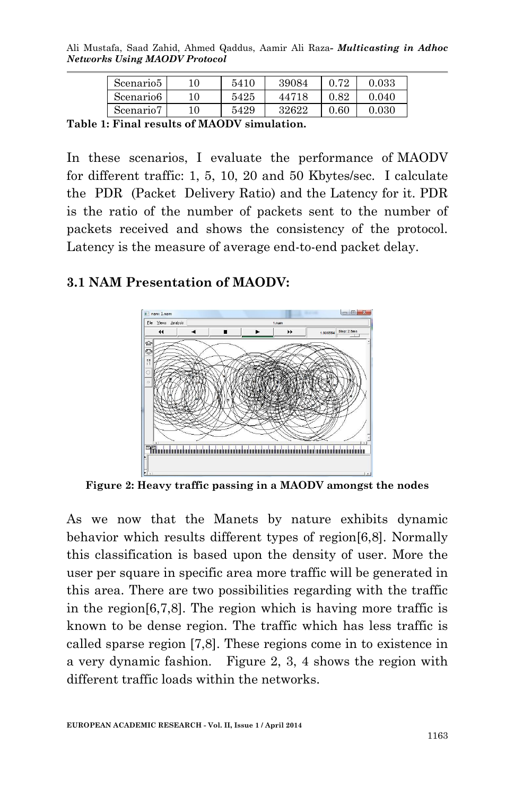Ali Mustafa, Saad Zahid, Ahmed Qaddus, Aamir Ali Raza*- Multicasting in Adhoc Networks Using MAODV Protocol*

| Scenario5 | 10 | 5410 | 39084 | റ അ  | 0.033 |
|-----------|----|------|-------|------|-------|
| Scenario6 | 10 | 5425 | 44718 | 0.82 | 0.040 |
| Scenario7 | 10 | 5429 | 32622 | 0.60 | 0.030 |

**Table 1: Final results of MAODV simulation.**

In these scenarios, I evaluate the performance of MAODV for different traffic: 1, 5, 10, 20 and 50 Kbytes/sec. I calculate the PDR (Packet Delivery Ratio) and the Latency for it. PDR is the ratio of the number of packets sent to the number of packets received and shows the consistency of the protocol. Latency is the measure of average end-to-end packet delay.

#### **3.1 NAM Presentation of MAODV:**



**Figure 2: Heavy traffic passing in a MAODV amongst the nodes**

As we now that the Manets by nature exhibits dynamic behavior which results different types of region[6,8]. Normally this classification is based upon the density of user. More the user per square in specific area more traffic will be generated in this area. There are two possibilities regarding with the traffic in the region[6,7,8]. The region which is having more traffic is known to be dense region. The traffic which has less traffic is called sparse region [7,8]. These regions come in to existence in a very dynamic fashion. Figure 2, 3, 4 shows the region with different traffic loads within the networks.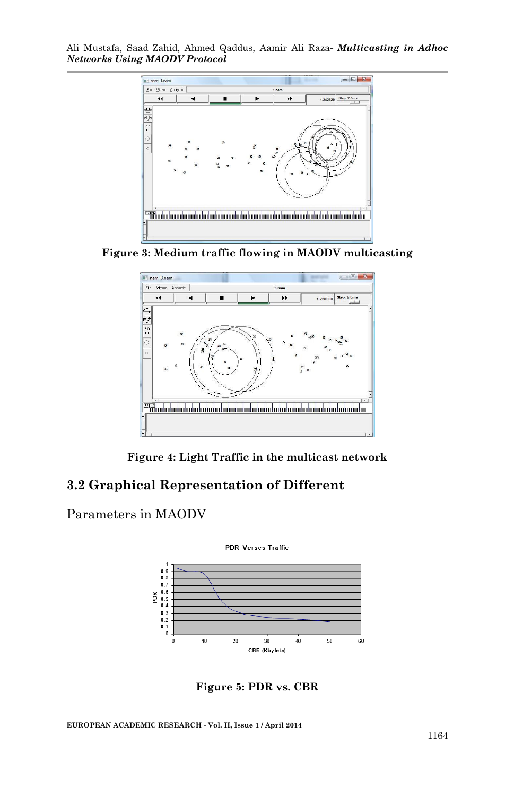

**Figure 3: Medium traffic flowing in MAODV multicasting**



**Figure 4: Light Traffic in the multicast network**

#### **3.2 Graphical Representation of Different**

Parameters in MAODV



**Figure 5: PDR vs. CBR**

**EUROPEAN ACADEMIC RESEARCH - Vol. II, Issue 1 / April 2014**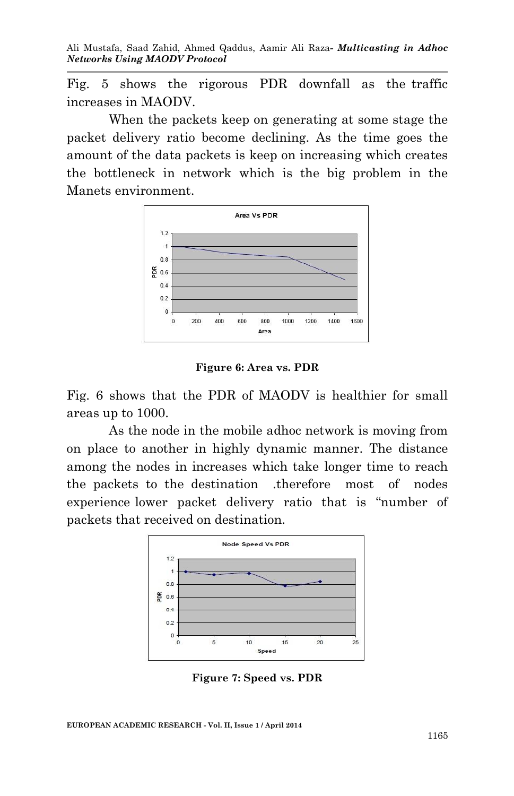Fig. 5 shows the rigorous PDR downfall as the traffic increases in MAODV.

When the packets keep on generating at some stage the packet delivery ratio become declining. As the time goes the amount of the data packets is keep on increasing which creates the bottleneck in network which is the big problem in the Manets environment.



**Figure 6: Area vs. PDR**

Fig. 6 shows that the PDR of MAODV is healthier for small areas up to 1000.

As the node in the mobile adhoc network is moving from on place to another in highly dynamic manner. The distance among the nodes in increases which take longer time to reach the packets to the destination .therefore most of nodes experience lower packet delivery ratio that is "number of packets that received on destination.



**Figure 7: Speed vs. PDR**

**EUROPEAN ACADEMIC RESEARCH - Vol. II, Issue 1 / April 2014**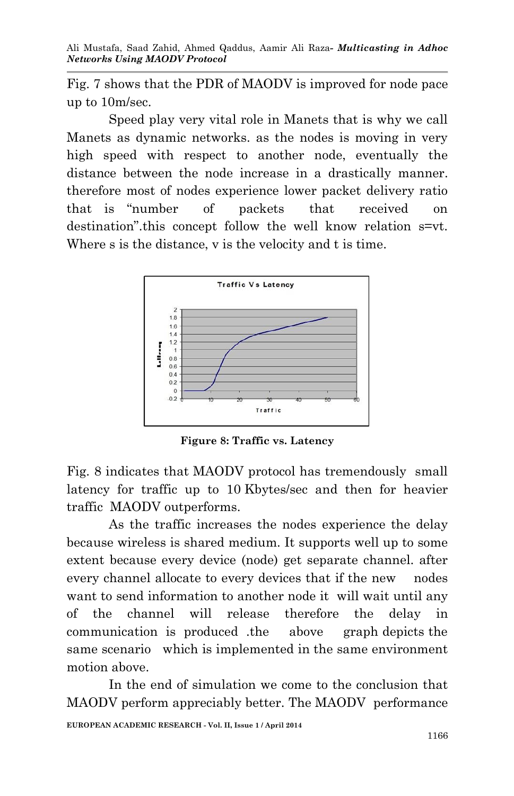Fig. 7 shows that the PDR of MAODV is improved for node pace up to 10m/sec.

Speed play very vital role in Manets that is why we call Manets as dynamic networks. as the nodes is moving in very high speed with respect to another node, eventually the distance between the node increase in a drastically manner. therefore most of nodes experience lower packet delivery ratio that is "number of packets that received on destination" this concept follow the well know relation  $s=vt$ . Where s is the distance, v is the velocity and t is time.



**Figure 8: Traffic vs. Latency**

Fig. 8 indicates that MAODV protocol has tremendously small latency for traffic up to 10 Kbytes/sec and then for heavier traffic MAODV outperforms.

As the traffic increases the nodes experience the delay because wireless is shared medium. It supports well up to some extent because every device (node) get separate channel. after every channel allocate to every devices that if the new nodes want to send information to another node it will wait until any of the channel will release therefore the delay in communication is produced .the above graph depicts the same scenario which is implemented in the same environment motion above.

In the end of simulation we come to the conclusion that MAODV perform appreciably better. The MAODV performance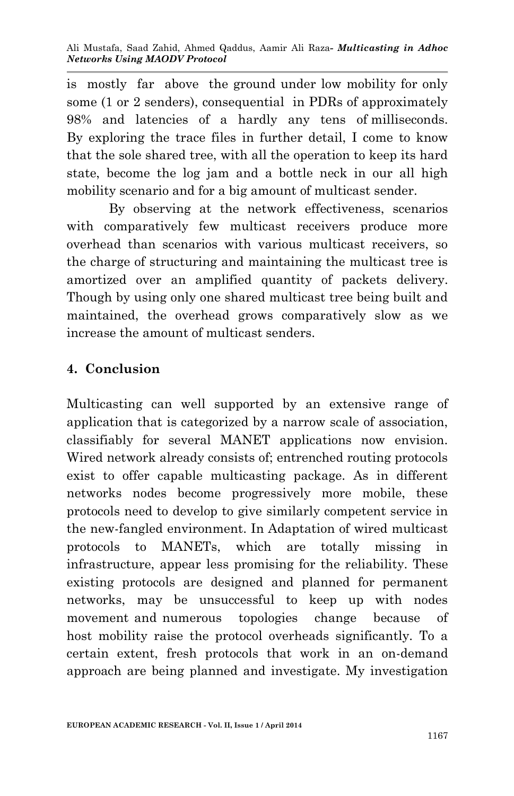is mostly far above the ground under low mobility for only some (1 or 2 senders), consequential in PDRs of approximately 98% and latencies of a hardly any tens of milliseconds. By exploring the trace files in further detail, I come to know that the sole shared tree, with all the operation to keep its hard state, become the log jam and a bottle neck in our all high mobility scenario and for a big amount of multicast sender.

By observing at the network effectiveness, scenarios with comparatively few multicast receivers produce more overhead than scenarios with various multicast receivers, so the charge of structuring and maintaining the multicast tree is amortized over an amplified quantity of packets delivery. Though by using only one shared multicast tree being built and maintained, the overhead grows comparatively slow as we increase the amount of multicast senders.

## **4. Conclusion**

Multicasting can well supported by an extensive range of application that is categorized by a narrow scale of association, classifiably for several MANET applications now envision. Wired network already consists of; entrenched routing protocols exist to offer capable multicasting package. As in different networks nodes become progressively more mobile, these protocols need to develop to give similarly competent service in the new-fangled environment. In Adaptation of wired multicast protocols to MANETs, which are totally missing in infrastructure, appear less promising for the reliability. These existing protocols are designed and planned for permanent networks, may be unsuccessful to keep up with nodes movement and numerous topologies change because of host mobility raise the protocol overheads significantly. To a certain extent, fresh protocols that work in an on-demand approach are being planned and investigate. My investigation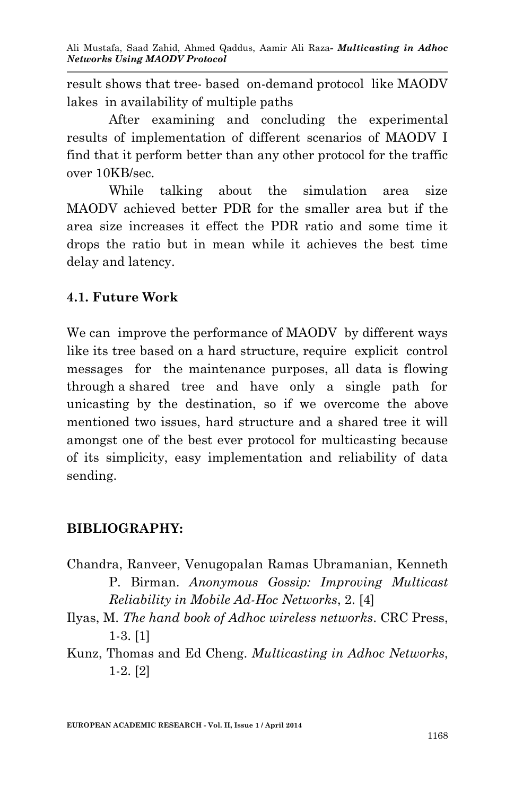result shows that tree- based on-demand protocol like MAODV lakes in availability of multiple paths

After examining and concluding the experimental results of implementation of different scenarios of MAODV I find that it perform better than any other protocol for the traffic over 10KB/sec.

While talking about the simulation area size MAODV achieved better PDR for the smaller area but if the area size increases it effect the PDR ratio and some time it drops the ratio but in mean while it achieves the best time delay and latency.

### **4.1. Future Work**

We can improve the performance of MAODV by different ways like its tree based on a hard structure, require explicit control messages for the maintenance purposes, all data is flowing through a shared tree and have only a single path for unicasting by the destination, so if we overcome the above mentioned two issues, hard structure and a shared tree it will amongst one of the best ever protocol for multicasting because of its simplicity, easy implementation and reliability of data sending.

### **BIBLIOGRAPHY:**

- Chandra, Ranveer, Venugopalan Ramas Ubramanian, Kenneth P. Birman. *Anonymous Gossip: Improving Multicast Reliability in Mobile Ad-Hoc Networks*, 2. [4]
- Ilyas, M. *The hand book of Adhoc wireless networks*. CRC Press, 1-3. [1]
- Kunz, Thomas and Ed Cheng. *Multicasting in Adhoc Networks*, 1-2. [2]